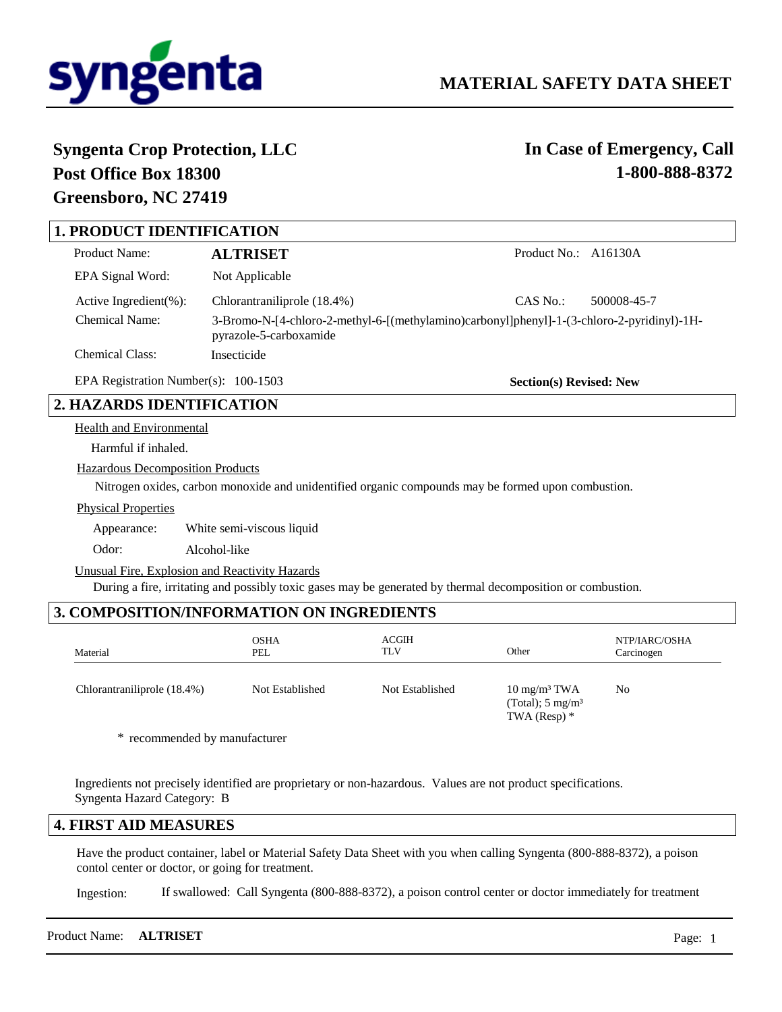

**Section(s) Revised: New**

# **Syngenta Crop Protection, LLC Post Office Box 18300 Greensboro, NC 27419**

**In Case of Emergency, Call 1-800-888-8372**

# **1. PRODUCT IDENTIFICATION**

| <b>Product Name:</b>                                                                                                                   | <b>ALTRISET</b>             | Product No.: A16130A |             |
|----------------------------------------------------------------------------------------------------------------------------------------|-----------------------------|----------------------|-------------|
| EPA Signal Word:                                                                                                                       | Not Applicable              |                      |             |
| Active Ingredient $(\% )$ :                                                                                                            | Chlorantraniliprole (18.4%) | CAS No.:             | 500008-45-7 |
| Chemical Name:<br>3-Bromo-N-[4-chloro-2-methyl-6-[(methylamino)carbonyl]phenyl]-1-(3-chloro-2-pyridinyl)-1H-<br>pyrazole-5-carboxamide |                             |                      |             |
| Chemical Class:                                                                                                                        | Insecticide                 |                      |             |

EPA Registration Number(s): 100-1503

# **2. HAZARDS IDENTIFICATION**

Health and Environmental

Harmful if inhaled.

Hazardous Decomposition Products

Nitrogen oxides, carbon monoxide and unidentified organic compounds may be formed upon combustion.

Physical Properties

Appearance: White semi-viscous liquid

Odor: Alcohol-like

Unusual Fire, Explosion and Reactivity Hazards

During a fire, irritating and possibly toxic gases may be generated by thermal decomposition or combustion.

# **3. COMPOSITION/INFORMATION ON INGREDIENTS**

| Material                    | <b>OSHA</b><br>PEL | <b>ACGIH</b><br>TLV | Other                                                                    | NTP/IARC/OSHA<br>Carcinogen |
|-----------------------------|--------------------|---------------------|--------------------------------------------------------------------------|-----------------------------|
| Chlorantraniliprole (18.4%) | Not Established    | Not Established     | $10 \text{ mg/m}^3$ TWA<br>(Total); $5 \text{ mg/m}^3$<br>TWA (Resp) $*$ | N <sub>0</sub>              |

\* recommended by manufacturer

Ingredients not precisely identified are proprietary or non-hazardous. Values are not product specifications. Syngenta Hazard Category: B

### **4. FIRST AID MEASURES**

Have the product container, label or Material Safety Data Sheet with you when calling Syngenta (800-888-8372), a poison contol center or doctor, or going for treatment.

If swallowed: Call Syngenta (800-888-8372), a poison control center or doctor immediately for treatment Ingestion:

| Product Name: <b>ALTRISET</b> |  | Page: |
|-------------------------------|--|-------|
|-------------------------------|--|-------|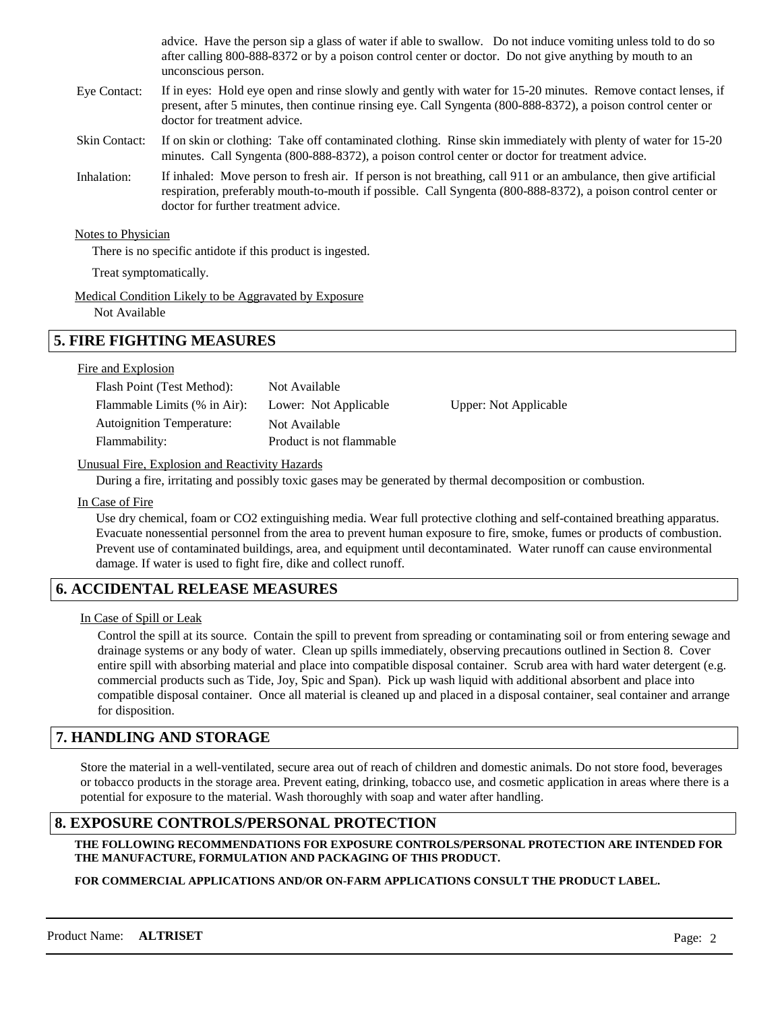|               | advice. Have the person sip a glass of water if able to swallow. Do not induce vomiting unless told to do so<br>after calling 800-888-8372 or by a poison control center or doctor. Do not give anything by mouth to an<br>unconscious person.                           |
|---------------|--------------------------------------------------------------------------------------------------------------------------------------------------------------------------------------------------------------------------------------------------------------------------|
| Eye Contact:  | If in eyes: Hold eye open and rinse slowly and gently with water for 15-20 minutes. Remove contact lenses, if<br>present, after 5 minutes, then continue rinsing eye. Call Syngenta (800-888-8372), a poison control center or<br>doctor for treatment advice.           |
| Skin Contact: | If on skin or clothing: Take off contaminated clothing. Rinse skin immediately with plenty of water for 15-20<br>minutes. Call Syngenta (800-888-8372), a poison control center or doctor for treatment advice.                                                          |
| Inhalation:   | If inhaled: Move person to fresh air. If person is not breathing, call 911 or an ambulance, then give artificial<br>respiration, preferably mouth-to-mouth if possible. Call Syngenta (800-888-8372), a poison control center or<br>doctor for further treatment advice. |
|               |                                                                                                                                                                                                                                                                          |

**Notes to Physician** 

There is no specific antidote if this product is ingested.

Treat symptomatically.

Medical Condition Likely to be Aggravated by Exposure

Not Available

# **5. FIRE FIGHTING MEASURES**

### Fire and Explosion

| Flash Point (Test Method):       | Not Available            |                       |
|----------------------------------|--------------------------|-----------------------|
| Flammable Limits (% in Air):     | Lower: Not Applicable    | Upper: Not Applicable |
| <b>Autoignition Temperature:</b> | Not Available            |                       |
| Flammability:                    | Product is not flammable |                       |
|                                  |                          |                       |

#### Unusual Fire, Explosion and Reactivity Hazards

During a fire, irritating and possibly toxic gases may be generated by thermal decomposition or combustion.

In Case of Fire

Use dry chemical, foam or CO2 extinguishing media. Wear full protective clothing and self-contained breathing apparatus. Evacuate nonessential personnel from the area to prevent human exposure to fire, smoke, fumes or products of combustion. Prevent use of contaminated buildings, area, and equipment until decontaminated. Water runoff can cause environmental damage. If water is used to fight fire, dike and collect runoff.

# **6. ACCIDENTAL RELEASE MEASURES**

### In Case of Spill or Leak

Control the spill at its source. Contain the spill to prevent from spreading or contaminating soil or from entering sewage and drainage systems or any body of water. Clean up spills immediately, observing precautions outlined in Section 8. Cover entire spill with absorbing material and place into compatible disposal container. Scrub area with hard water detergent (e.g. commercial products such as Tide, Joy, Spic and Span). Pick up wash liquid with additional absorbent and place into compatible disposal container. Once all material is cleaned up and placed in a disposal container, seal container and arrange for disposition.

# **7. HANDLING AND STORAGE**

Store the material in a well-ventilated, secure area out of reach of children and domestic animals. Do not store food, beverages or tobacco products in the storage area. Prevent eating, drinking, tobacco use, and cosmetic application in areas where there is a potential for exposure to the material. Wash thoroughly with soap and water after handling.

# **8. EXPOSURE CONTROLS/PERSONAL PROTECTION**

**THE FOLLOWING RECOMMENDATIONS FOR EXPOSURE CONTROLS/PERSONAL PROTECTION ARE INTENDED FOR THE MANUFACTURE, FORMULATION AND PACKAGING OF THIS PRODUCT.** 

### **FOR COMMERCIAL APPLICATIONS AND/OR ON-FARM APPLICATIONS CONSULT THE PRODUCT LABEL.**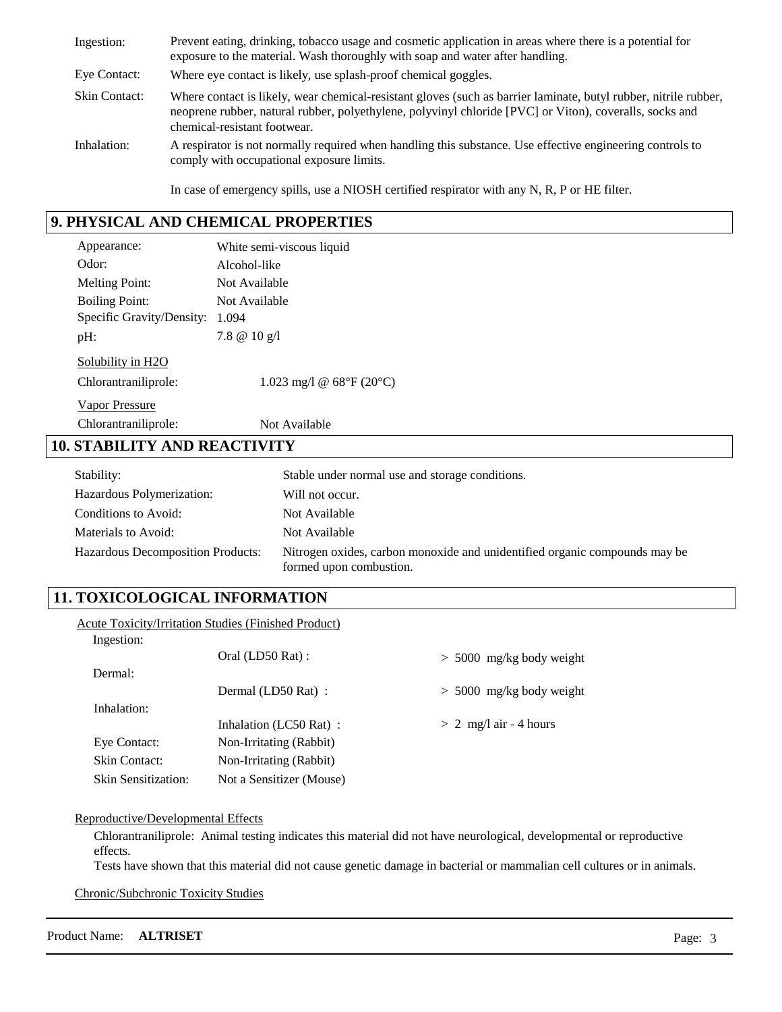| Ingestion:           | Prevent eating, drinking, tobacco usage and cosmetic application in areas where there is a potential for<br>exposure to the material. Wash thoroughly with soap and water after handling.                                                                   |
|----------------------|-------------------------------------------------------------------------------------------------------------------------------------------------------------------------------------------------------------------------------------------------------------|
| Eye Contact:         | Where eye contact is likely, use splash-proof chemical goggles.                                                                                                                                                                                             |
| <b>Skin Contact:</b> | Where contact is likely, wear chemical-resistant gloves (such as barrier laminate, butyl rubber, nitrile rubber,<br>neoprene rubber, natural rubber, polyethylene, polyvinyl chloride [PVC] or Viton), coveralls, socks and<br>chemical-resistant footwear. |
| Inhalation:          | A respirator is not normally required when handling this substance. Use effective engineering controls to<br>comply with occupational exposure limits.                                                                                                      |
|                      | In case of emergency spills, use a NIOSH certified respirator with any N, R, P or HE filter.                                                                                                                                                                |

# **9. PHYSICAL AND CHEMICAL PROPERTIES**

| Appearance:                         | White semi-viscous liquid                       |  |  |
|-------------------------------------|-------------------------------------------------|--|--|
| Odor:                               | Alcohol-like                                    |  |  |
| <b>Melting Point:</b>               | Not Available                                   |  |  |
| <b>Boiling Point:</b>               | Not Available                                   |  |  |
| Specific Gravity/Density: 1.094     |                                                 |  |  |
| pH:                                 | 7.8 $@10 g/l$                                   |  |  |
| Solubility in H2O                   |                                                 |  |  |
| Chlorantraniliprole:                | 1.023 mg/l @ $68^{\circ}F(20^{\circ}C)$         |  |  |
| <b>Vapor Pressure</b>               |                                                 |  |  |
| Chlorantraniliprole:                | Not Available                                   |  |  |
| <b>10. STABILITY AND REACTIVITY</b> |                                                 |  |  |
| Stability:                          | Stable under normal use and storage conditions. |  |  |
| Hazardous Polymerization:           | Will not occur.                                 |  |  |
| Conditions to Avoid:                | Not Available                                   |  |  |
|                                     |                                                 |  |  |

Nitrogen oxides, carbon monoxide and unidentified organic compounds may be formed upon combustion. Hazardous Decomposition Products: Materials to Avoid: Not Available

# **11. TOXICOLOGICAL INFORMATION**

|                            | <b>Acute Toxicity/Irritation Studies (Finished Product)</b> |                            |
|----------------------------|-------------------------------------------------------------|----------------------------|
| Ingestion:                 |                                                             |                            |
|                            | Oral (LD50 Rat) :                                           | $> 5000$ mg/kg body weight |
| Dermal:                    |                                                             |                            |
|                            | Dermal (LD50 Rat):                                          | $> 5000$ mg/kg body weight |
| Inhalation:                |                                                             |                            |
|                            | Inhalation (LC50 Rat):                                      | $> 2$ mg/l air - 4 hours   |
| Eye Contact:               | Non-Irritating (Rabbit)                                     |                            |
| Skin Contact:              | Non-Irritating (Rabbit)                                     |                            |
| <b>Skin Sensitization:</b> | Not a Sensitizer (Mouse)                                    |                            |

### Reproductive/Developmental Effects

Chlorantraniliprole: Animal testing indicates this material did not have neurological, developmental or reproductive effects.

Tests have shown that this material did not cause genetic damage in bacterial or mammalian cell cultures or in animals.

Chronic/Subchronic Toxicity Studies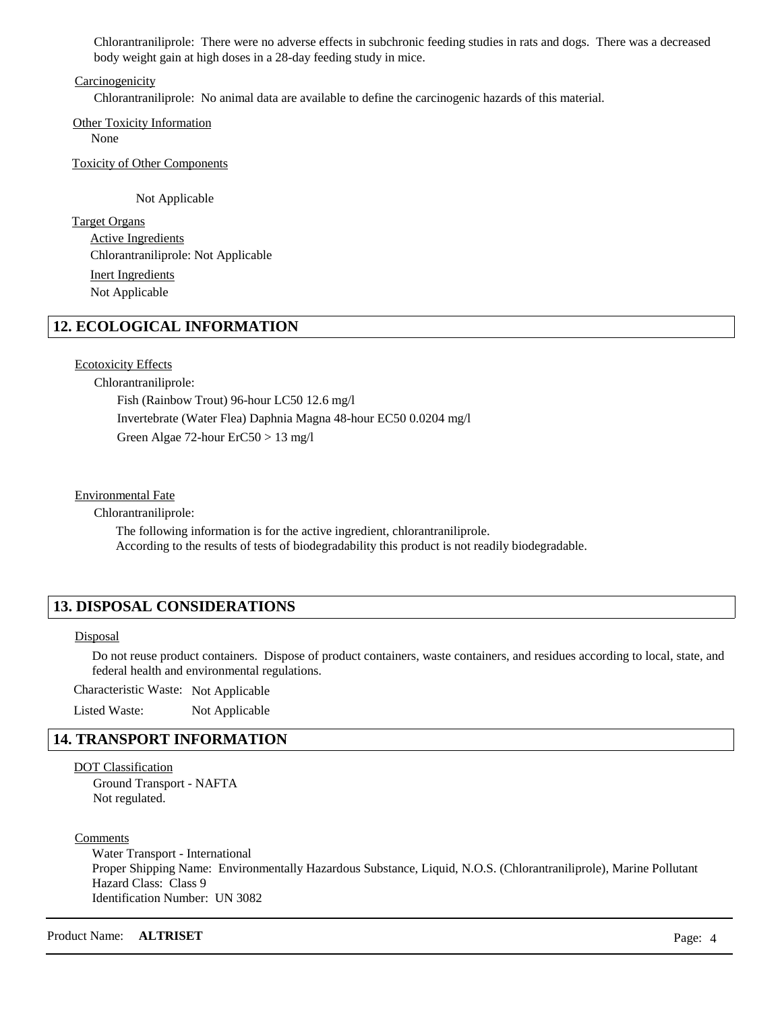Chlorantraniliprole: There were no adverse effects in subchronic feeding studies in rats and dogs. There was a decreased body weight gain at high doses in a 28-day feeding study in mice.

#### Carcinogenicity

Chlorantraniliprole: No animal data are available to define the carcinogenic hazards of this material.

Other Toxicity Information None

Toxicity of Other Components

Not Applicable

Target Organs Active Ingredients Inert Ingredients Chlorantraniliprole: Not Applicable Not Applicable

# **12. ECOLOGICAL INFORMATION**

### Ecotoxicity Effects

Chlorantraniliprole: Fish (Rainbow Trout) 96-hour LC50 12.6 mg/l Invertebrate (Water Flea) Daphnia Magna 48-hour EC50 0.0204 mg/l Green Algae 72-hour ErC50 > 13 mg/l

#### Environmental Fate

Chlorantraniliprole:

The following information is for the active ingredient, chlorantraniliprole. According to the results of tests of biodegradability this product is not readily biodegradable.

### **13. DISPOSAL CONSIDERATIONS**

#### **Disposal**

Do not reuse product containers. Dispose of product containers, waste containers, and residues according to local, state, and federal health and environmental regulations.

Characteristic Waste: Not Applicable

Listed Waste: Not Applicable

### **14. TRANSPORT INFORMATION**

### DOT Classification

Ground Transport - NAFTA Not regulated.

**Comments** 

Water Transport - International Proper Shipping Name: Environmentally Hazardous Substance, Liquid, N.O.S. (Chlorantraniliprole), Marine Pollutant Hazard Class: Class 9 Identification Number: UN 3082